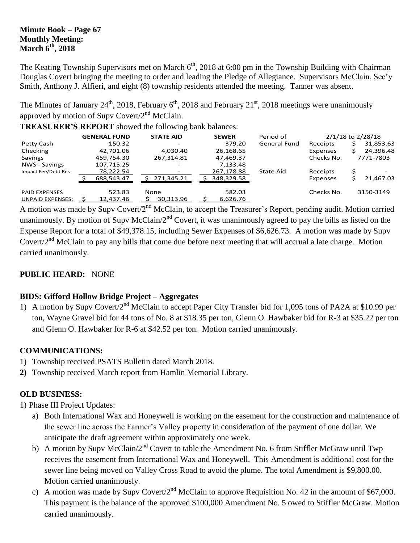## **Minute Book – Page 67 Monthly Meeting: March 6 th , 2018**

The Keating Township Supervisors met on March  $6<sup>th</sup>$ , 2018 at 6:00 pm in the Township Building with Chairman Douglas Covert bringing the meeting to order and leading the Pledge of Allegiance. Supervisors McClain, Sec'y Smith, Anthony J. Alfieri, and eight (8) township residents attended the meeting. Tanner was absent.

The Minutes of January  $24^{\text{th}}$ , 2018, February  $6^{\text{th}}$ , 2018 and February  $21^{\text{st}}$ , 2018 meetings were unanimously approved by motion of Supv Covert/2<sup>nd</sup> McClain.

**TREASURER'S REPORT** showed the following bank balances:

|                         | <b>GENERAL FUND</b> | <b>STATE AID</b> | <b>SEWER</b> | Period of           |            | 2/1/18 to 2/28/18 |
|-------------------------|---------------------|------------------|--------------|---------------------|------------|-------------------|
| Petty Cash              | 150.32              |                  | 379.20       | <b>General Fund</b> | Receipts   | 31,853.63         |
| Checking                | 42,701.06           | 4,030.40         | 26,168.65    |                     | Expenses   | 24,396.48         |
| Savings                 | 459,754.30          | 267,314.81       | 47,469.37    |                     | Checks No. | 7771-7803         |
| NWS - Savings           | 107,715.25          | -                | 7,133.48     |                     |            |                   |
| Impact Fee/Debt Res     | 78,222.54           |                  | 267,178.88   | State Aid           | Receipts   | \$                |
|                         | 688,543.47          | 271,345.21       | 348,329.58   |                     | Expenses   | 21,467.03         |
| <b>PAID EXPENSES</b>    | 523.83              | None             | 582.03       |                     | Checks No. | 3150-3149         |
| <b>UNPAID EXPENSES:</b> | 12,437.46           | 30,313.96        | 6,626.76     |                     |            |                   |

A motion was made by Supv Covert/2<sup>nd</sup> McClain, to accept the Treasurer's Report, pending audit. Motion carried unanimously. By motion of Supv McClain/2<sup>nd</sup> Covert, it was unanimously agreed to pay the bills as listed on the Expense Report for a total of \$49,378.15, including Sewer Expenses of \$6,626.73. A motion was made by Supv Covert/2<sup>nd</sup> McClain to pay any bills that come due before next meeting that will accrual a late charge. Motion carried unanimously.

# **PUBLIC HEARD:** NONE

# **BIDS: Gifford Hollow Bridge Project – Aggregates**

1) A motion by Supv Covert/2<sup>nd</sup> McClain to accept Paper City Transfer bid for 1,095 tons of PA2A at \$10.99 per ton, Wayne Gravel bid for 44 tons of No. 8 at \$18.35 per ton, Glenn O. Hawbaker bid for R-3 at \$35.22 per ton and Glenn O. Hawbaker for R-6 at \$42.52 per ton. Motion carried unanimously.

# **COMMUNICATIONS:**

- 1) Township received PSATS Bulletin dated March 2018.
- **2)** Township received March report from Hamlin Memorial Library.

# **OLD BUSINESS:**

1) Phase III Project Updates:

- a) Both International Wax and Honeywell is working on the easement for the construction and maintenance of the sewer line across the Farmer's Valley property in consideration of the payment of one dollar. We anticipate the draft agreement within approximately one week.
- b) A motion by Supv McClain/2<sup>nd</sup> Covert to table the Amendment No. 6 from Stiffler McGraw until Twp receives the easement from International Wax and Honeywell. This Amendment is additional cost for the sewer line being moved on Valley Cross Road to avoid the plume. The total Amendment is \$9,800.00. Motion carried unanimously.
- c) A motion was made by Supv Covert/ $2<sup>nd</sup>$  McClain to approve Requisition No. 42 in the amount of \$67,000. This payment is the balance of the approved \$100,000 Amendment No. 5 owed to Stiffler McGraw. Motion carried unanimously.